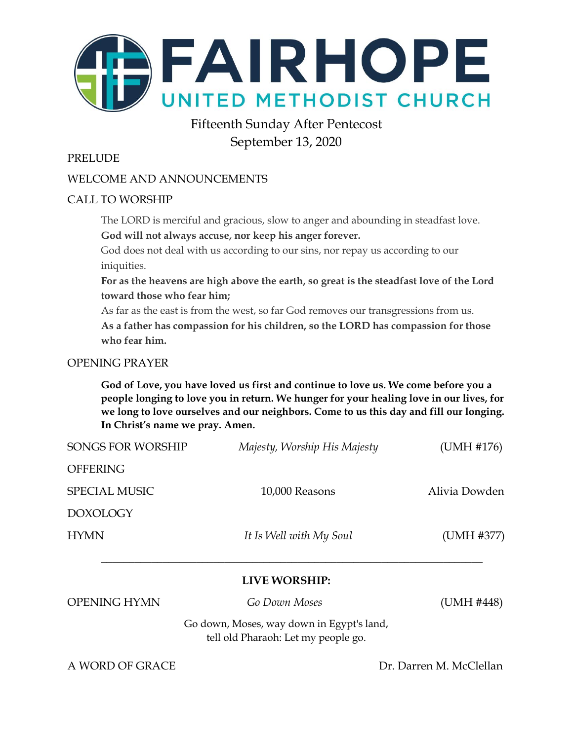

# Fifteenth Sunday After Pentecost September 13, 2020

### PRELUDE

### WELCOME AND ANNOUNCEMENTS

### CALL TO WORSHIP

The LORD is merciful and gracious, slow to anger and abounding in steadfast love. **God will not always accuse, nor keep his anger forever.**

God does not deal with us according to our sins, nor repay us according to our iniquities.

**For as the heavens are high above the earth, so great is the steadfast love of the Lord toward those who fear him;**

As far as the east is from the west, so far God removes our transgressions from us.

**As a father has compassion for his children, so the LORD has compassion for those who fear him.**

### OPENING PRAYER

**God of Love, you have loved us first and continue to love us. We come before you a people longing to love you in return. We hunger for your healing love in our lives, for we long to love ourselves and our neighbors. Come to us this day and fill our longing. In Christ's name we pray. Amen.**

| <b>OPENING HYMN</b>  | <b>LIVE WORSHIP:</b><br>Go Down Moses | (UMH #448)    |
|----------------------|---------------------------------------|---------------|
| <b>HYMN</b>          | It Is Well with My Soul               | (UMH #377)    |
| <b>DOXOLOGY</b>      |                                       |               |
| <b>SPECIAL MUSIC</b> | 10,000 Reasons                        | Alivia Dowden |
| <b>OFFERING</b>      |                                       |               |
| SONGS FOR WORSHIP    | Majesty, Worship His Majesty          | (UMH #176)    |

Go down, Moses, way down in Egypt's land, tell old Pharaoh: Let my people go.

A WORD OF GRACE Dr. Darren M. McClellan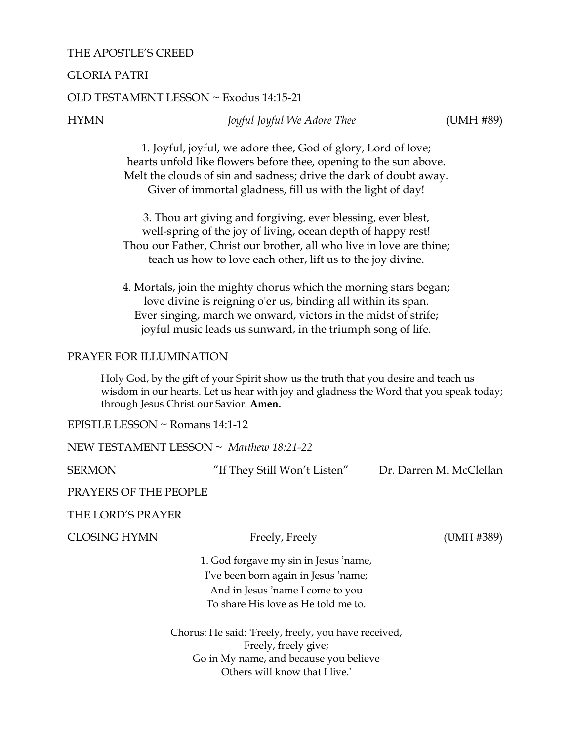### THE APOSTLE'S CREED

### GLORIA PATRI

### OLD TESTAMENT LESSON ~ Exodus 14:15-21

HYMN *Joyful Joyful We Adore Thee* (UMH #89)

1. Joyful, joyful, we adore thee, God of glory, Lord of love; hearts unfold like flowers before thee, opening to the sun above. Melt the clouds of sin and sadness; drive the dark of doubt away. Giver of immortal gladness, fill us with the light of day!

3. Thou art giving and forgiving, ever blessing, ever blest, well-spring of the joy of living, ocean depth of happy rest! Thou our Father, Christ our brother, all who live in love are thine; teach us how to love each other, lift us to the joy divine.

4. Mortals, join the mighty chorus which the morning stars began; love divine is reigning o'er us, binding all within its span. Ever singing, march we onward, victors in the midst of strife; joyful music leads us sunward, in the triumph song of life.

### PRAYER FOR ILLUMINATION

Holy God, by the gift of your Spirit show us the truth that you desire and teach us wisdom in our hearts. Let us hear with joy and gladness the Word that you speak today; through Jesus Christ our Savior. **Amen.**

EPISTLE LESSON ~ Romans 14:1-12

NEW TESTAMENT LESSON ~ *Matthew 18:21-22*

SERMON "If They Still Won't Listen"Dr. Darren M. McClellan

PRAYERS OF THE PEOPLE

THE LORD'S PRAYER

CLOSING HYMN Freely, Freely (UMH #389)

1. God forgave my sin in Jesus 'name, I've been born again in Jesus 'name; And in Jesus 'name I come to you To share His love as He told me to.

Chorus: He said: 'Freely, freely, you have received, Freely, freely give; Go in My name, and because you believe Others will know that I live.'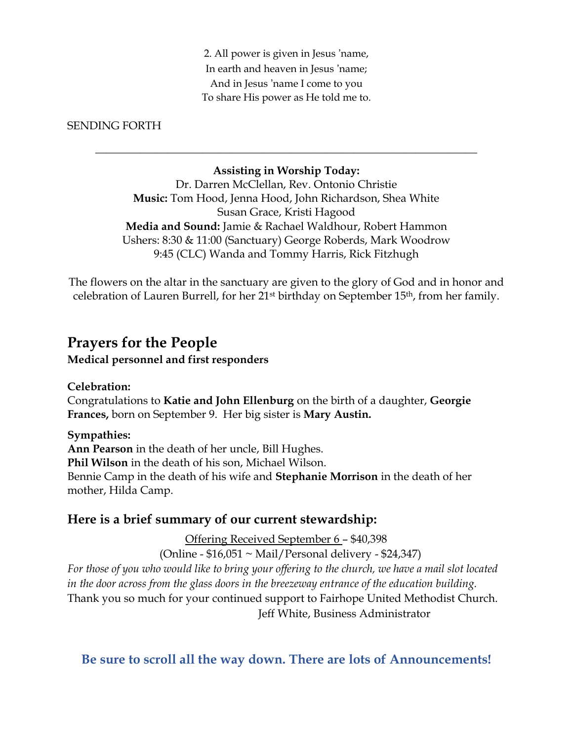2. All power is given in Jesus 'name, In earth and heaven in Jesus 'name; And in Jesus 'name I come to you To share His power as He told me to.

### SENDING FORTH

### **Assisting in Worship Today:**

\_\_\_\_\_\_\_\_\_\_\_\_\_\_\_\_\_\_\_\_\_\_\_\_\_\_\_\_\_\_\_\_\_\_\_\_\_\_\_\_\_\_\_\_\_\_\_\_\_\_\_\_\_\_\_\_\_\_\_\_\_\_\_\_\_\_\_\_

Dr. Darren McClellan, Rev. Ontonio Christie **Music:** Tom Hood, Jenna Hood, John Richardson, Shea White Susan Grace, Kristi Hagood **Media and Sound:** Jamie & Rachael Waldhour, Robert Hammon Ushers: 8:30 & 11:00 (Sanctuary) George Roberds, Mark Woodrow 9:45 (CLC) Wanda and Tommy Harris, Rick Fitzhugh

The flowers on the altar in the sanctuary are given to the glory of God and in honor and celebration of Lauren Burrell, for her 21st birthday on September 15th, from her family.

## **Prayers for the People**

**Medical personnel and first responders**

### **Celebration:**

Congratulations to **Katie and John Ellenburg** on the birth of a daughter, **Georgie Frances,** born on September 9. Her big sister is **Mary Austin.**

**Sympathies:**

**Ann Pearson** in the death of her uncle, Bill Hughes.

**Phil Wilson** in the death of his son, Michael Wilson.

Bennie Camp in the death of his wife and **Stephanie Morrison** in the death of her mother, Hilda Camp.

### **Here is a brief summary of our current stewardship:**

Offering Received September 6 – \$40,398

(Online -  $$16,051 \sim$  Mail/Personal delivery -  $$24,347$ )

*For those of you who would like to bring your offering to the church, we have a mail slot located in the door across from the glass doors in the breezeway entrance of the education building.* Thank you so much for your continued support to Fairhope United Methodist Church. Jeff White, Business Administrator

### **Be sure to scroll all the way down. There are lots of Announcements!**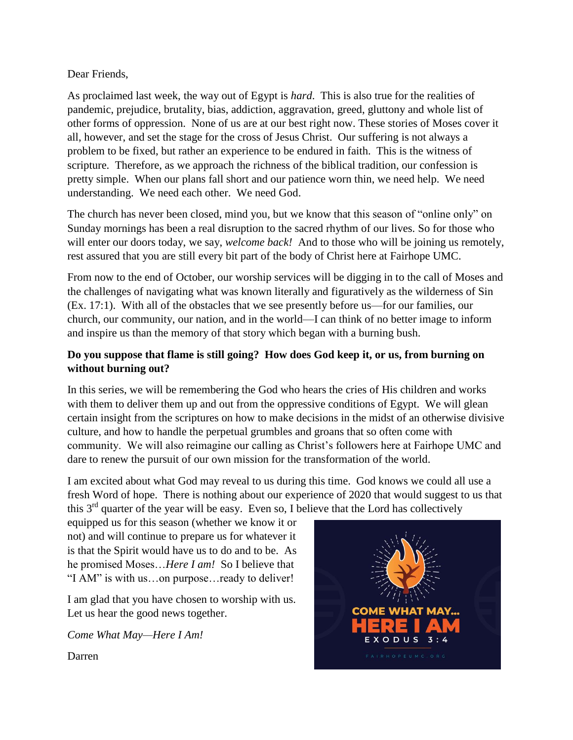Dear Friends,

As proclaimed last week, the way out of Egypt is *hard*. This is also true for the realities of pandemic, prejudice, brutality, bias, addiction, aggravation, greed, gluttony and whole list of other forms of oppression. None of us are at our best right now. These stories of Moses cover it all, however, and set the stage for the cross of Jesus Christ. Our suffering is not always a problem to be fixed, but rather an experience to be endured in faith. This is the witness of scripture. Therefore, as we approach the richness of the biblical tradition, our confession is pretty simple. When our plans fall short and our patience worn thin, we need help. We need understanding. We need each other. We need God.

The church has never been closed, mind you, but we know that this season of "online only" on Sunday mornings has been a real disruption to the sacred rhythm of our lives. So for those who will enter our doors today, we say, *welcome back!* And to those who will be joining us remotely, rest assured that you are still every bit part of the body of Christ here at Fairhope UMC.

From now to the end of October, our worship services will be digging in to the call of Moses and the challenges of navigating what was known literally and figuratively as the wilderness of Sin (Ex. 17:1). With all of the obstacles that we see presently before us—for our families, our church, our community, our nation, and in the world—I can think of no better image to inform and inspire us than the memory of that story which began with a burning bush.

### **Do you suppose that flame is still going? How does God keep it, or us, from burning on without burning out?**

In this series, we will be remembering the God who hears the cries of His children and works with them to deliver them up and out from the oppressive conditions of Egypt. We will glean certain insight from the scriptures on how to make decisions in the midst of an otherwise divisive culture, and how to handle the perpetual grumbles and groans that so often come with community. We will also reimagine our calling as Christ's followers here at Fairhope UMC and dare to renew the pursuit of our own mission for the transformation of the world.

I am excited about what God may reveal to us during this time. God knows we could all use a fresh Word of hope. There is nothing about our experience of 2020 that would suggest to us that this  $3<sup>rd</sup>$  quarter of the year will be easy. Even so, I believe that the Lord has collectively

equipped us for this season (whether we know it or not) and will continue to prepare us for whatever it is that the Spirit would have us to do and to be. As he promised Moses…*Here I am!* So I believe that "I AM" is with us…on purpose…ready to deliver!

I am glad that you have chosen to worship with us. Let us hear the good news together.

*Come What May—Here I Am!*



Darren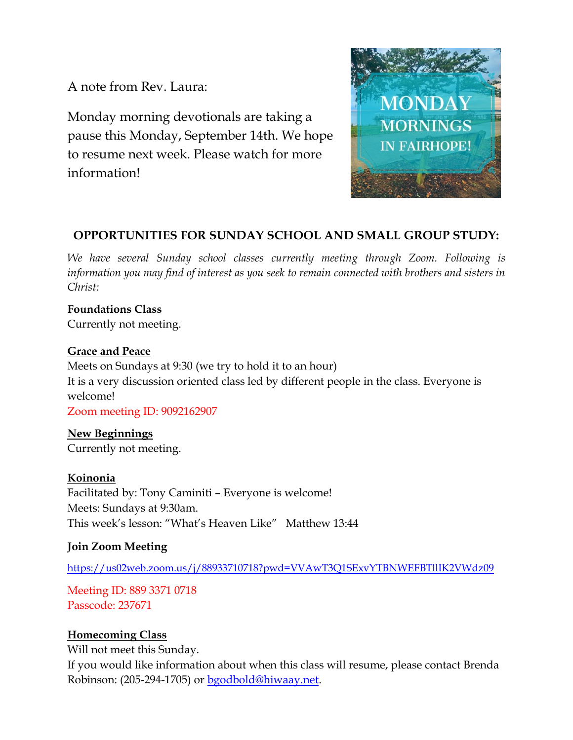A note from Rev. Laura:

Monday morning devotionals are taking a pause this Monday, September 14th. We hope to resume next week. Please watch for more information!



# **OPPORTUNITIES FOR SUNDAY SCHOOL AND SMALL GROUP STUDY:**

*We have several Sunday school classes currently meeting through Zoom. Following is information you may find of interest as you seek to remain connected with brothers and sisters in Christ:*

# **Foundations Class**

Currently not meeting.

### **Grace and Peace**

Meets on Sundays at 9:30 (we try to hold it to an hour) It is a very discussion oriented class led by different people in the class. Everyone is welcome! Zoom meeting ID: 9092162907

**New Beginnings** Currently not meeting.

**Koinonia**

Facilitated by: Tony Caminiti – Everyone is welcome! Meets: Sundays at 9:30am. This week's lesson: "What's Heaven Like" Matthew 13:44

### **Join Zoom Meeting**

<https://us02web.zoom.us/j/88933710718?pwd=VVAwT3Q1SExvYTBNWEFBTllIK2VWdz09>

Meeting ID: 889 3371 0718 Passcode: 237671

### **Homecoming Class**

Will not meet this Sunday.

If you would like information about when this class will resume, please contact Brenda Robinson: (205-294-1705) or [bgodbold@hiwaay.net.](mailto:bgodbold@hiwaay.net)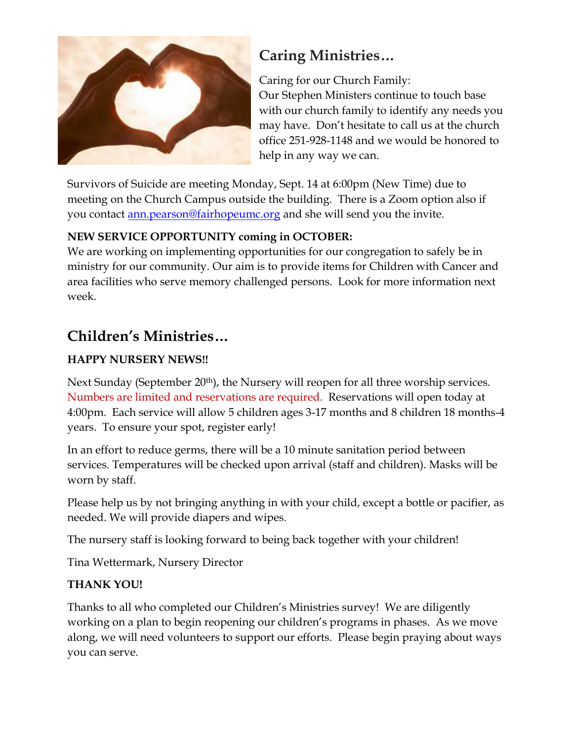

# **Caring Ministries…**

Caring for our Church Family: Our Stephen Ministers continue to touch base with our church family to identify any needs you may have. Don't hesitate to call us at the church office 251-928-1148 and we would be honored to help in any way we can.

Survivors of Suicide are meeting Monday, Sept. 14 at 6:00pm (New Time) due to meeting on the Church Campus outside the building. There is a Zoom option also if you contact <u>ann.pearson@fairhopeumc.org</u> and she will send you the invite.

### **NEW SERVICE OPPORTUNITY coming in OCTOBER:**

We are working on implementing opportunities for our congregation to safely be in ministry for our community. Our aim is to provide items for Children with Cancer and area facilities who serve memory challenged persons. Look for more information next week.

# **Children's Ministries…**

# **HAPPY NURSERY NEWS!!**

Next Sunday (September 20<sup>th</sup>), the Nursery will reopen for all three worship services. Numbers are limited and reservations are required. Reservations will open today at 4:00pm. Each service will allow 5 children ages 3-17 months and 8 children 18 months-4 years. To ensure your spot, register early!

In an effort to reduce germs, there will be a 10 minute sanitation period between services. Temperatures will be checked upon arrival (staff and children). Masks will be worn by staff.

Please help us by not bringing anything in with your child, except a bottle or pacifier, as needed. We will provide diapers and wipes.

The nursery staff is looking forward to being back together with your children!

Tina Wettermark, Nursery Director

### **THANK YOU!**

Thanks to all who completed our Children's Ministries survey! We are diligently working on a plan to begin reopening our children's programs in phases. As we move along, we will need volunteers to support our efforts. Please begin praying about ways you can serve.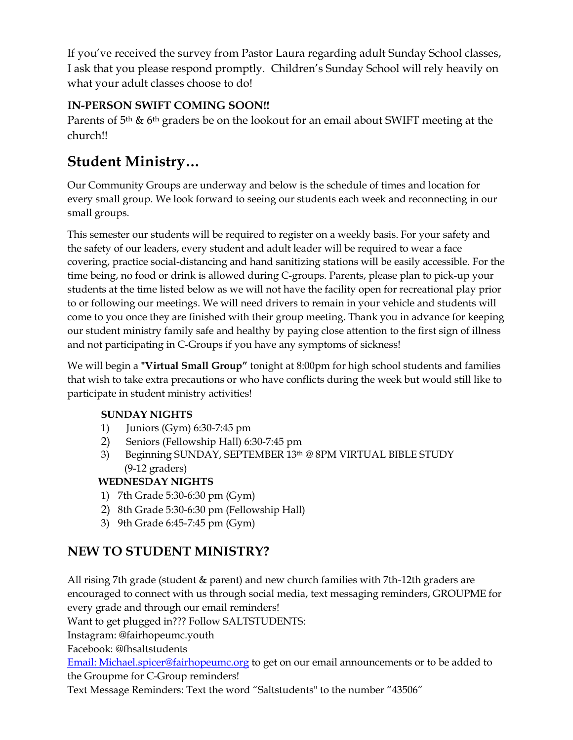If you've received the survey from Pastor Laura regarding adult Sunday School classes, I ask that you please respond promptly. Children's Sunday School will rely heavily on what your adult classes choose to do!

### **IN-PERSON SWIFT COMING SOON!!**

Parents of  $5<sup>th</sup>$  &  $6<sup>th</sup>$  graders be on the lookout for an email about SWIFT meeting at the church!!

# **Student Ministry…**

Our Community Groups are underway and below is the schedule of times and location for every small group. We look forward to seeing our students each week and reconnecting in our small groups.

This semester our students will be required to register on a weekly basis. For your safety and the safety of our leaders, every student and adult leader will be required to wear a face covering, practice social-distancing and hand sanitizing stations will be easily accessible. For the time being, no food or drink is allowed during C-groups. Parents, please plan to pick-up your students at the time listed below as we will not have the facility open for recreational play prior to or following our meetings. We will need drivers to remain in your vehicle and students will come to you once they are finished with their group meeting. Thank you in advance for keeping our student ministry family safe and healthy by paying close attention to the first sign of illness and not participating in C-Groups if you have any symptoms of sickness!

We will begin a **"Virtual Small Group"** tonight at 8:00pm for high school students and families that wish to take extra precautions or who have conflicts during the week but would still like to participate in student ministry activities!

### **SUNDAY NIGHTS**

- 1) Juniors (Gym) 6:30-7:45 pm
- 2) Seniors (Fellowship Hall) 6:30-7:45 pm
- 3) Beginning SUNDAY, SEPTEMBER  $13<sup>th</sup> @ 8PM VIRTUAL BIBLE STUDY$ (9-12 graders)

### **WEDNESDAY NIGHTS**

- 1) 7th Grade 5:30-6:30 pm (Gym)
- 2) 8th Grade 5:30-6:30 pm (Fellowship Hall)
- 3) 9th Grade 6:45-7:45 pm (Gym)

# **NEW TO STUDENT MINISTRY?**

All rising 7th grade (student & parent) and new church families with 7th-12th graders are encouraged to connect with us through social media, text messaging reminders, GROUPME for every grade and through our email reminders!

Want to get plugged in??? Follow SALTSTUDENTS:

Instagram: @fairhopeumc.youth

Facebook: @fhsaltstudents

[Email: Michael.spicer@fairhopeumc.org](mailto:Michael.spicer@fairhopeumc.org) to get on our email announcements or to be added to the Groupme for C-Group reminders!

Text Message Reminders: Text the word "Saltstudents" to the number "43506"